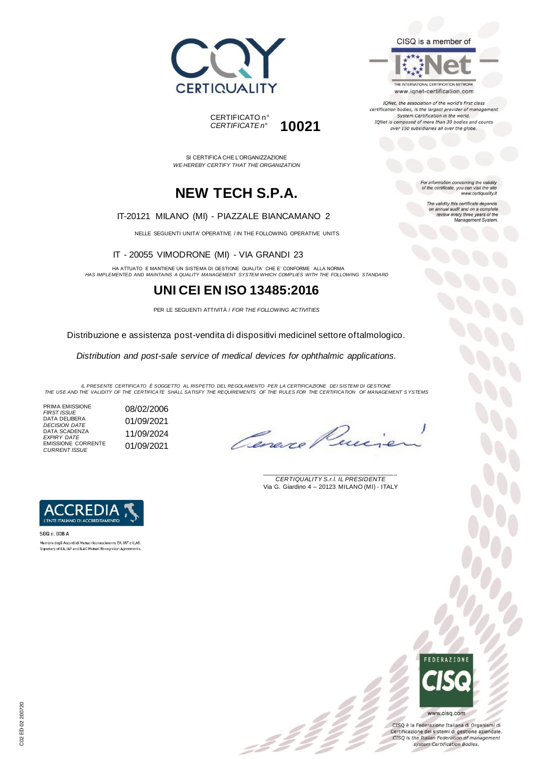



SI CERTIFICA CHE L'ORGANIZZAZIONE *WE HEREBY CERTIFY THAT THE ORGANIZATION*

# **NEW TECH S.P.A.**

#### IT-20121 MILANO (MI) - PIAZZALE BIANCAMANO 2

NELLE SEGUENTI UNITA' OPERATIVE / IN THE FOLLOWING OPERATIVE UNITS

IT - 20055 VIMODRONE (MI) - VIA GRANDI 23

HA ATTUATO E MANTIENE UN SISTEMA DI GESTIONE QUALITA' CHE E' CONFORME ALLA NORMA *HAS IMPLEMENTED AND MAINTAINS A QUALITY MANAGEMENT SYSTEM WHICH COMPLIES WITH THE FOLLOWING STANDARD*

### **UNI CEI EN ISO 13485:2016**

PER LE SEGUENTI ATTIVITÀ / *FOR THE FOLLOWING ACTIVITIES*

Distribuzione e assistenza post-vendita di dispositivi medicinel settore oftalmologico.

*Distribution and post-sale service of medical devices for ophthalmic applications.*

*IL PRESENTE CERTIFICATO È SOGGETTO AL RISPETTO DEL REGOLAMENTO PER LA CERTIFICAZIONE DEI SISTEMI DI GESTIONE THE USE AND THE VALIDITY OF THE CERTIFICATE SHALL SATISFY THE REQUIREMENTS OF THE RULES FOR THE CERTIFICATION OF MANAGEMENT S YSTEMS*

:22

PRIMA EMISSIONE *FIRST ISSUE* 08/02/2006 DATA DELIBERA DATA DELIBERA<br>*DECISION DATE* 01/09/2021 DATA SCADENZA *EXPIRY DATE* 11/09/2024 EMISSIONE CORRENTE **EMISSIONE CORRENTE** 01/09/2021

\_\_\_\_\_\_\_\_\_\_\_\_\_\_\_\_\_\_\_\_\_\_\_\_\_\_\_\_\_\_\_\_\_\_\_\_\_\_\_ *CERTIQUALITY S.r.l. IL PRESIDENTE* Via G. Giardino 4 – 20123 MILANO (MI) - ITALY



SGQ n. 008 A Membro degli Accordi di Mutuo riconoscimento EA. IAF e ILAC. Signatory of EA, IAF and ILAC Mutual Recognition Agreements



CISQ è la Federazione Italiana di Organismi di Certificazione dei sistemi di gestione aziendale. CISQ is the Italian Federation of management system Certification Bodies.



THE INTERNATIONAL CERTIFICATION NETWORK www.iqnet-certification.com

IQNet, the association of the world's first class certification bodies, is the largest provider of manageme. System Certification in the world. IQNet is composed of more than 30 bodies and counts over 150 subsidiaries all over the globe.

> For information concerning the validity<br>of the certificate, you can visit the site www.certiquality.it

> > The validity this certificate depends on annual audit and on a complete<br>review every three years of the<br>Management System.